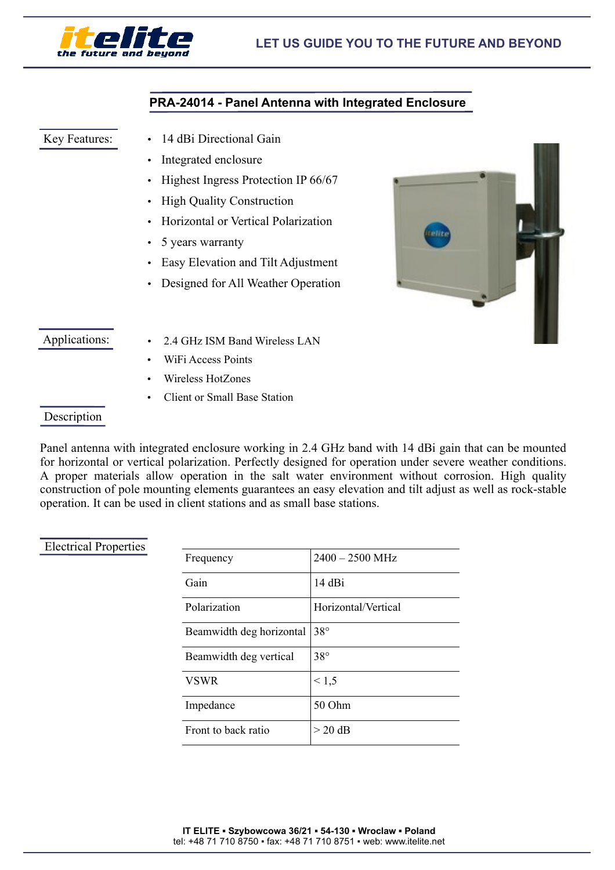

## **PRA-24014 - Panel Antenna with Integrated Enclosure**

#### Key Features:

- 14 dBi Directional Gain
- Integrated enclosure
- Highest Ingress Protection IP 66/67
- High Quality Construction
- Horizontal or Vertical Polarization
- 5 years warranty
- Easy Elevation and Tilt Adjustment
- Designed for All Weather Operation



### Applications:

- 2.4 GHz ISM Band Wireless LAN
- WiFi Access Points
- Wireless HotZones
- Client or Small Base Station

### **Description**

Panel antenna with integrated enclosure working in 2.4 GHz band with 14 dBi gain that can be mounted for horizontal or vertical polarization. Perfectly designed for operation under severe weather conditions. A proper materials allow operation in the salt water environment without corrosion. High quality construction of pole mounting elements guarantees an easy elevation and tilt adjust as well as rock-stable operation. It can be used in client stations and as small base stations.

#### Electrical Properties

| Frequency                | $2400 - 2500$ MHz   |
|--------------------------|---------------------|
| Gain                     | 14 dBi              |
| Polarization             | Horizontal/Vertical |
| Beamwidth deg horizontal | $38^\circ$          |
| Beamwidth deg vertical   | $38^\circ$          |
| <b>VSWR</b>              | < 1, 5              |
| Impedance                | 50 Ohm              |
| Front to back ratio      | $>$ 20 dB           |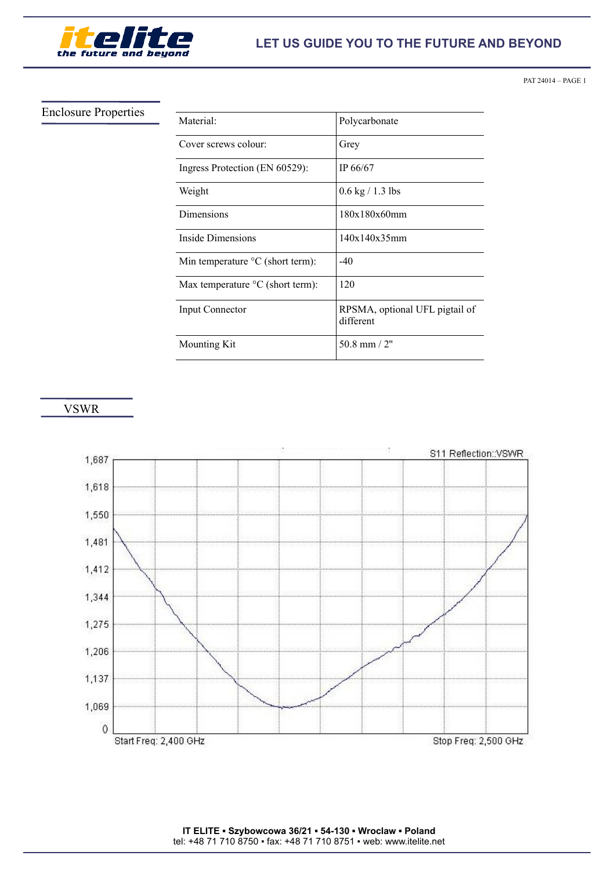

Enclosure Properties

## **LET US GUIDE YOU TO THE FUTURE AND BEYOND**

PAT 24014 – PAGE 1

| Material:                                      | Polycarbonate                               |
|------------------------------------------------|---------------------------------------------|
| Cover screws colour:                           | Grey                                        |
| Ingress Protection (EN 60529):                 | IP 66/67                                    |
| Weight                                         | $0.6 \text{ kg} / 1.3 \text{ lbs}$          |
| Dimensions                                     | 180x180x60mm                                |
| Inside Dimensions                              | 140x140x35mm                                |
| Min temperature $\mathrm{C}$ (short term):     | $-40$                                       |
| Max temperature $\rm{^{\circ}C}$ (short term): | 120                                         |
| Input Connector                                | RPSMA, optional UFL pigtail of<br>different |
| <b>Mounting Kit</b>                            | 50.8 mm $/2"$                               |

VSWR



**IT ELITE ▪ Szybowcowa 36/21 ▪ 54-130 ▪ Wroclaw ▪ Poland** tel: +48 71 710 8750 ▪ fax: +48 71 710 8751 ▪ web: www.itelite.net